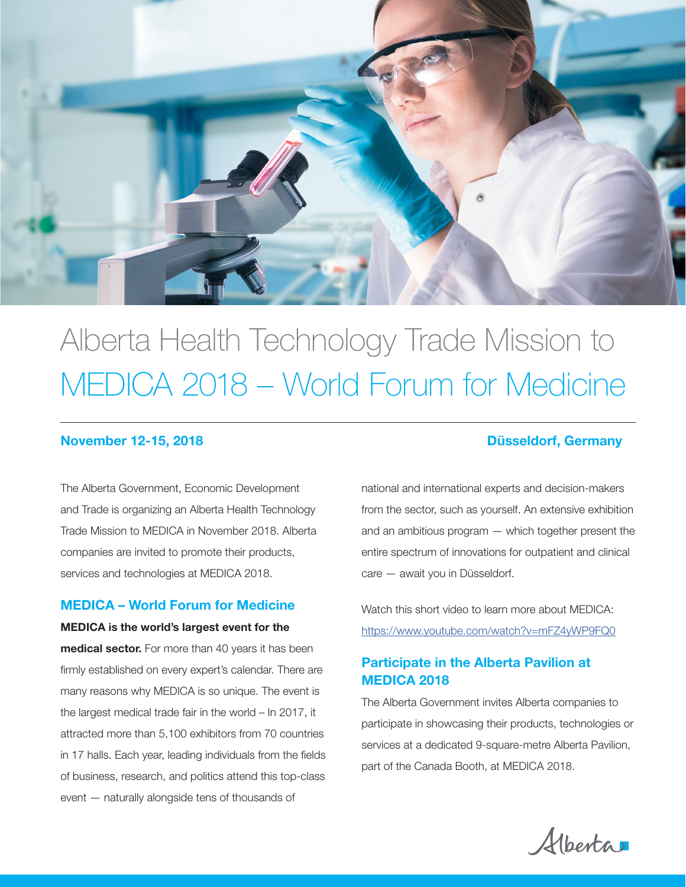

# Alberta Health Technology Trade Mission to MEDICA 2018 – World Forum for Medicine

The Alberta Government, Economic Development and Trade is organizing an Alberta Health Technology Trade Mission to MEDICA in November 2018. Alberta companies are invited to promote their products, services and technologies at MEDICA 2018.

#### MEDICA – World Forum for Medicine

MEDICA is the world's largest event for the medical sector. For more than 40 years it has been firmly established on every expert's calendar. There are many reasons why MEDICA is so unique. The event is the largest medical trade fair in the world – In 2017, it attracted more than 5,100 exhibitors from 70 countries in 17 halls. Each year, leading individuals from the fields of business, research, and politics attend this top-class event — naturally alongside tens of thousands of

#### November 12-15, 2018 Düsseldorf, Germany

national and international experts and decision-makers from the sector, such as yourself. An extensive exhibition and an ambitious program — which together present the entire spectrum of innovations for outpatient and clinical care — await you in Düsseldorf.

Watch this short video to learn more about MEDICA: https://www.youtube.com/watch?v=mFZ4yWP9FQ0

### Participate in the Alberta Pavilion at MEDICA 2018

The Alberta Government invites Alberta companies to participate in showcasing their products, technologies or services at a dedicated 9-square-metre Alberta Pavilion, part of the Canada Booth, at MEDICA 2018.

Alberta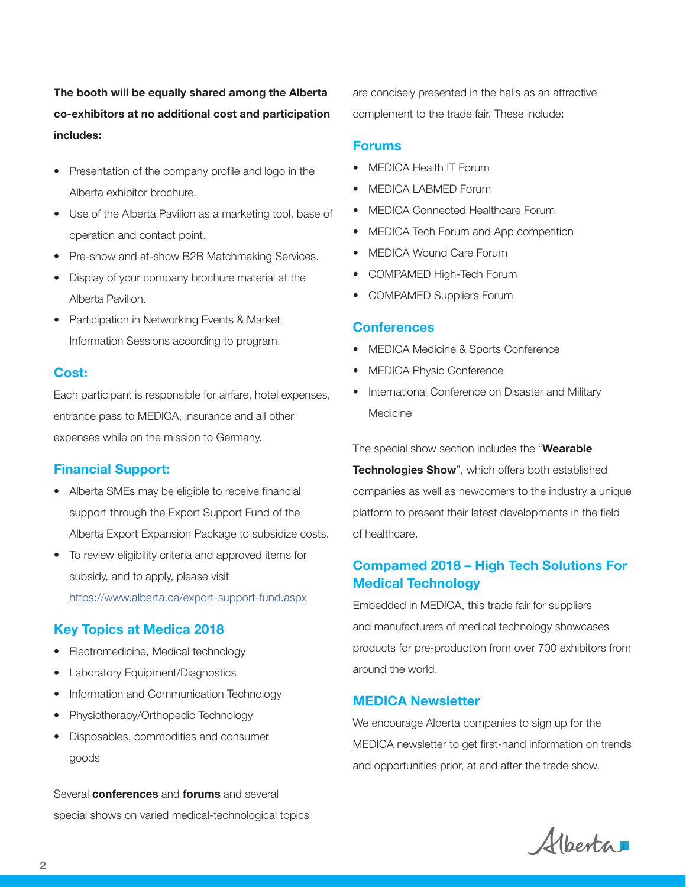The booth will be equally shared among the Alberta co-exhibitors at no additional cost and participation includes:

- Presentation of the company profile and logo in the Alberta exhibitor brochure.
- Use of the Alberta Pavilion as a marketing tool, base of operation and contact point.
- Pre-show and at-show B2B Matchmaking Services.
- Display of your company brochure material at the Alberta Pavilion.
- Participation in Networking Events & Market Information Sessions according to program.

#### Cost:

Each participant is responsible for airfare, hotel expenses, entrance pass to MEDICA, insurance and all other expenses while on the mission to Germany.

#### Financial Support:

- Alberta SMEs may be eligible to receive financial support through the Export Support Fund of the Alberta Export Expansion Package to subsidize costs.
- To review eligibility criteria and approved items for subsidy, and to apply, please visit https://www.alberta.ca/export-support-fund.aspx

#### Key Topics at Medica 2018

- Electromedicine, Medical technology
- Laboratory Equipment/Diagnostics
- Information and Communication Technology
- Physiotherapy/Orthopedic Technology
- Disposables, commodities and consumer goods

Several **conferences** and **forums** and several special shows on varied medical-technological topics are concisely presented in the halls as an attractive complement to the trade fair. These include:

#### Forums

- MEDICA Health IT Forum
- MEDICA LABMED Forum
- MEDICA Connected Healthcare Forum
- MEDICA Tech Forum and App competition
- MEDICA Wound Care Forum
- COMPAMED High-Tech Forum
- COMPAMED Suppliers Forum

#### **Conferences**

- MEDICA Medicine & Sports Conference
- MEDICA Physio Conference
- International Conference on Disaster and Military Medicine

The special show section includes the "Wearable Technologies Show", which offers both established companies as well as newcomers to the industry a unique platform to present their latest developments in the field of healthcare.

#### Compamed 2018 – High Tech Solutions For Medical Technology

Embedded in MEDICA, this trade fair for suppliers and manufacturers of medical technology showcases products for pre-production from over 700 exhibitors from around the world.

#### MEDICA Newsletter

We encourage Alberta companies to sign up for the MEDICA newsletter to get first-hand information on trends and opportunities prior, at and after the trade show.

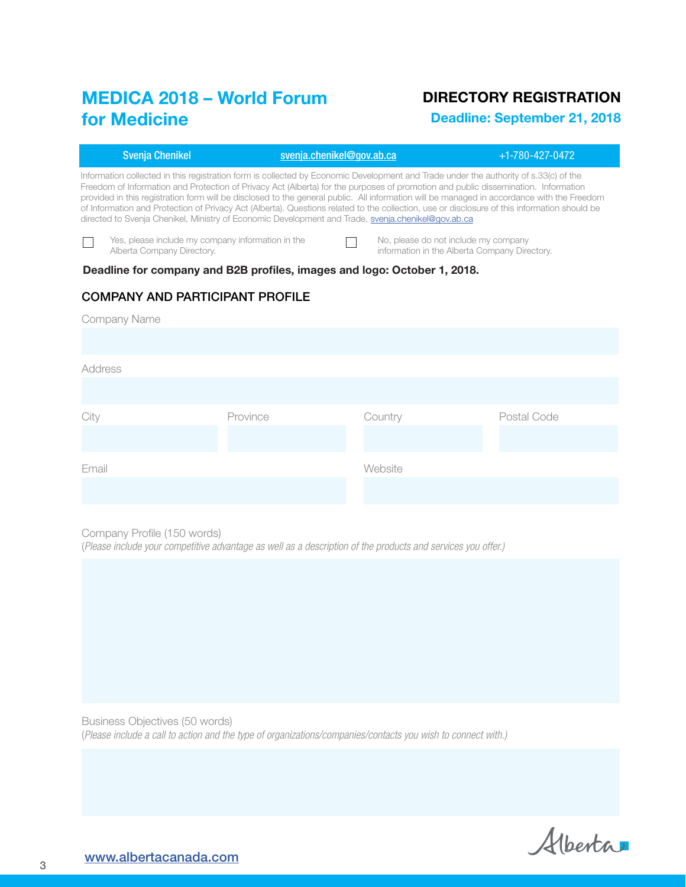# MEDICA 2018 – World Forum<br>for Madiaire for Medicine

## DIRECTORY REGISTRATION

Deadline: September 21, 2018

|                                                                                                                                                                                                                                                                                                                                                                                                                                                                                                                                                                                                                                                                                | <b>Svenja Chenikel</b>                                                          | svenja.chenikel@gov.ab.ca |  |                                                                                       | $+1 - 780 - 427 - 0472$ |  |  |
|--------------------------------------------------------------------------------------------------------------------------------------------------------------------------------------------------------------------------------------------------------------------------------------------------------------------------------------------------------------------------------------------------------------------------------------------------------------------------------------------------------------------------------------------------------------------------------------------------------------------------------------------------------------------------------|---------------------------------------------------------------------------------|---------------------------|--|---------------------------------------------------------------------------------------|-------------------------|--|--|
| Information collected in this registration form is collected by Economic Development and Trade under the authority of s.33(c) of the<br>Freedom of Information and Protection of Privacy Act (Alberta) for the purposes of promotion and public dissemination. Information<br>provided in this registration form will be disclosed to the general public. All information will be managed in accordance with the Freedom<br>of Information and Protection of Privacy Act (Alberta). Questions related to the collection, use or disclosure of this information should be<br>directed to Svenia Chenikel, Ministry of Economic Development and Trade, svenja.chenikel@gov.ab.ca |                                                                                 |                           |  |                                                                                       |                         |  |  |
|                                                                                                                                                                                                                                                                                                                                                                                                                                                                                                                                                                                                                                                                                | Yes, please include my company information in the<br>Alberta Company Directory. |                           |  | No, please do not include my company<br>information in the Alberta Company Directory. |                         |  |  |
| Deadline for company and B2B profiles, images and logo: October 1, 2018.                                                                                                                                                                                                                                                                                                                                                                                                                                                                                                                                                                                                       |                                                                                 |                           |  |                                                                                       |                         |  |  |
| <b>COMPANY AND PARTICIPANT PROFILE</b>                                                                                                                                                                                                                                                                                                                                                                                                                                                                                                                                                                                                                                         |                                                                                 |                           |  |                                                                                       |                         |  |  |
| <b>Company Name</b>                                                                                                                                                                                                                                                                                                                                                                                                                                                                                                                                                                                                                                                            |                                                                                 |                           |  |                                                                                       |                         |  |  |
|                                                                                                                                                                                                                                                                                                                                                                                                                                                                                                                                                                                                                                                                                |                                                                                 |                           |  |                                                                                       |                         |  |  |
| Address                                                                                                                                                                                                                                                                                                                                                                                                                                                                                                                                                                                                                                                                        |                                                                                 |                           |  |                                                                                       |                         |  |  |
|                                                                                                                                                                                                                                                                                                                                                                                                                                                                                                                                                                                                                                                                                |                                                                                 |                           |  |                                                                                       |                         |  |  |
| City                                                                                                                                                                                                                                                                                                                                                                                                                                                                                                                                                                                                                                                                           |                                                                                 | Province                  |  | Country                                                                               | Postal Code             |  |  |
|                                                                                                                                                                                                                                                                                                                                                                                                                                                                                                                                                                                                                                                                                |                                                                                 |                           |  |                                                                                       |                         |  |  |
| Fmail                                                                                                                                                                                                                                                                                                                                                                                                                                                                                                                                                                                                                                                                          |                                                                                 |                           |  | Website                                                                               |                         |  |  |
|                                                                                                                                                                                                                                                                                                                                                                                                                                                                                                                                                                                                                                                                                |                                                                                 |                           |  |                                                                                       |                         |  |  |
|                                                                                                                                                                                                                                                                                                                                                                                                                                                                                                                                                                                                                                                                                |                                                                                 |                           |  |                                                                                       |                         |  |  |

Company Profile (150 words)

(*Please include your competitive advantage as well as a description of the products and services you offer.)*

Business Objectives (50 words) (*Please include a call to action and the type of organizations/companies/contacts you wish to connect with.)*

Alberta

3